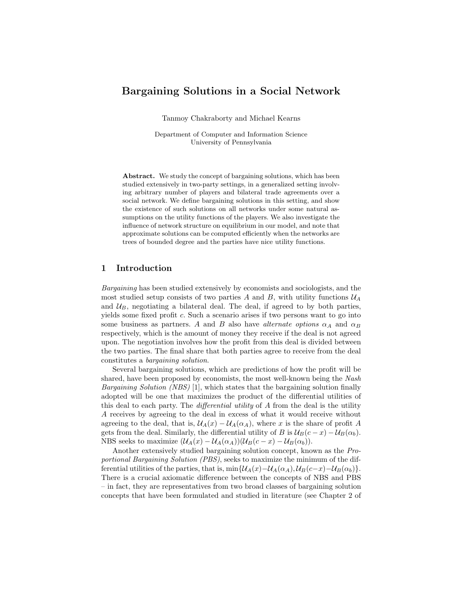# Bargaining Solutions in a Social Network

Tanmoy Chakraborty and Michael Kearns

Department of Computer and Information Science University of Pennsylvania

Abstract. We study the concept of bargaining solutions, which has been studied extensively in two-party settings, in a generalized setting involving arbitrary number of players and bilateral trade agreements over a social network. We define bargaining solutions in this setting, and show the existence of such solutions on all networks under some natural assumptions on the utility functions of the players. We also investigate the influence of network structure on equilibrium in our model, and note that approximate solutions can be computed efficiently when the networks are trees of bounded degree and the parties have nice utility functions.

### 1 Introduction

Bargaining has been studied extensively by economists and sociologists, and the most studied setup consists of two parties A and B, with utility functions  $U_A$ and  $U_B$ , negotiating a bilateral deal. The deal, if agreed to by both parties, yields some fixed profit c. Such a scenario arises if two persons want to go into some business as partners. A and B also have *alternate options*  $\alpha_A$  and  $\alpha_B$ respectively, which is the amount of money they receive if the deal is not agreed upon. The negotiation involves how the profit from this deal is divided between the two parties. The final share that both parties agree to receive from the deal constitutes a bargaining solution.

Several bargaining solutions, which are predictions of how the profit will be shared, have been proposed by economists, the most well-known being the Nash Bargaining Solution (NBS) [1], which states that the bargaining solution finally adopted will be one that maximizes the product of the differential utilities of this deal to each party. The *differential utility* of A from the deal is the utility A receives by agreeing to the deal in excess of what it would receive without agreeing to the deal, that is,  $\mathcal{U}_A(x) - \mathcal{U}_A(\alpha_A)$ , where x is the share of profit A gets from the deal. Similarly, the differential utility of B is  $\mathcal{U}_B(c-x) - \mathcal{U}_B(\alpha_b)$ . NBS seeks to maximize  $(\mathcal{U}_A(x) - \mathcal{U}_A(\alpha_A))(\mathcal{U}_B(c - x) - \mathcal{U}_B(\alpha_b)).$ 

Another extensively studied bargaining solution concept, known as the Proportional Bargaining Solution (PBS), seeks to maximize the minimum of the differential utilities of the parties, that is, min $\{U_A(x)-U_A(\alpha_A), U_B(c-x)-U_B(\alpha_b)\}.$ There is a crucial axiomatic difference between the concepts of NBS and PBS – in fact, they are representatives from two broad classes of bargaining solution concepts that have been formulated and studied in literature (see Chapter 2 of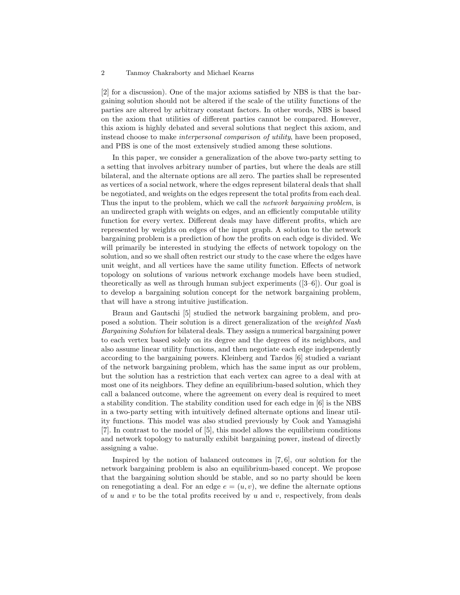#### 2 Tanmoy Chakraborty and Michael Kearns

[2] for a discussion). One of the major axioms satisfied by NBS is that the bargaining solution should not be altered if the scale of the utility functions of the parties are altered by arbitrary constant factors. In other words, NBS is based on the axiom that utilities of different parties cannot be compared. However, this axiom is highly debated and several solutions that neglect this axiom, and instead choose to make interpersonal comparison of utility, have been proposed, and PBS is one of the most extensively studied among these solutions.

In this paper, we consider a generalization of the above two-party setting to a setting that involves arbitrary number of parties, but where the deals are still bilateral, and the alternate options are all zero. The parties shall be represented as vertices of a social network, where the edges represent bilateral deals that shall be negotiated, and weights on the edges represent the total profits from each deal. Thus the input to the problem, which we call the network bargaining problem, is an undirected graph with weights on edges, and an efficiently computable utility function for every vertex. Different deals may have different profits, which are represented by weights on edges of the input graph. A solution to the network bargaining problem is a prediction of how the profits on each edge is divided. We will primarily be interested in studying the effects of network topology on the solution, and so we shall often restrict our study to the case where the edges have unit weight, and all vertices have the same utility function. Effects of network topology on solutions of various network exchange models have been studied, theoretically as well as through human subject experiments  $(3-6)$ . Our goal is to develop a bargaining solution concept for the network bargaining problem, that will have a strong intuitive justification.

Braun and Gautschi [5] studied the network bargaining problem, and proposed a solution. Their solution is a direct generalization of the weighted Nash Bargaining Solution for bilateral deals. They assign a numerical bargaining power to each vertex based solely on its degree and the degrees of its neighbors, and also assume linear utility functions, and then negotiate each edge independently according to the bargaining powers. Kleinberg and Tardos [6] studied a variant of the network bargaining problem, which has the same input as our problem, but the solution has a restriction that each vertex can agree to a deal with at most one of its neighbors. They define an equilibrium-based solution, which they call a balanced outcome, where the agreement on every deal is required to meet a stability condition. The stability condition used for each edge in [6] is the NBS in a two-party setting with intuitively defined alternate options and linear utility functions. This model was also studied previously by Cook and Yamagishi [7]. In contrast to the model of [5], this model allows the equilibrium conditions and network topology to naturally exhibit bargaining power, instead of directly assigning a value.

Inspired by the notion of balanced outcomes in [7, 6], our solution for the network bargaining problem is also an equilibrium-based concept. We propose that the bargaining solution should be stable, and so no party should be keen on renegotiating a deal. For an edge  $e = (u, v)$ , we define the alternate options of u and v to be the total profits received by u and v, respectively, from deals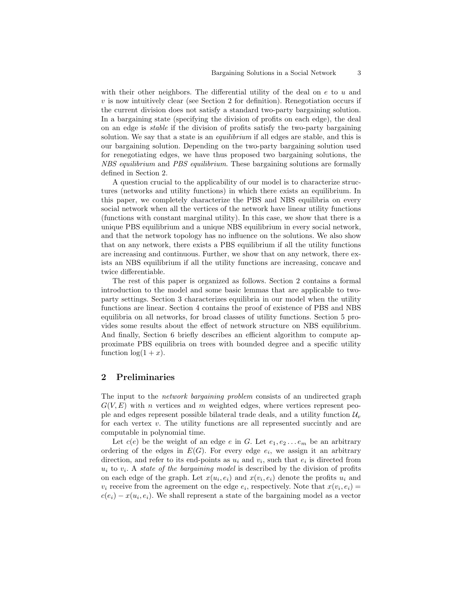with their other neighbors. The differential utility of the deal on  $e$  to  $u$  and  $v$  is now intuitively clear (see Section 2 for definition). Renegotiation occurs if the current division does not satisfy a standard two-party bargaining solution. In a bargaining state (specifying the division of profits on each edge), the deal on an edge is stable if the division of profits satisfy the two-party bargaining solution. We say that a state is an *equilibrium* if all edges are stable, and this is our bargaining solution. Depending on the two-party bargaining solution used for renegotiating edges, we have thus proposed two bargaining solutions, the NBS equilibrium and PBS equilibrium. These bargaining solutions are formally defined in Section 2.

A question crucial to the applicability of our model is to characterize structures (networks and utility functions) in which there exists an equilibrium. In this paper, we completely characterize the PBS and NBS equilibria on every social network when all the vertices of the network have linear utility functions (functions with constant marginal utility). In this case, we show that there is a unique PBS equilibrium and a unique NBS equilibrium in every social network, and that the network topology has no influence on the solutions. We also show that on any network, there exists a PBS equilibrium if all the utility functions are increasing and continuous. Further, we show that on any network, there exists an NBS equilibrium if all the utility functions are increasing, concave and twice differentiable.

The rest of this paper is organized as follows. Section 2 contains a formal introduction to the model and some basic lemmas that are applicable to twoparty settings. Section 3 characterizes equilibria in our model when the utility functions are linear. Section 4 contains the proof of existence of PBS and NBS equilibria on all networks, for broad classes of utility functions. Section 5 provides some results about the effect of network structure on NBS equilibrium. And finally, Section 6 briefly describes an efficient algorithm to compute approximate PBS equilibria on trees with bounded degree and a specific utility function  $\log(1+x)$ .

#### 2 Preliminaries

The input to the network bargaining problem consists of an undirected graph  $G(V, E)$  with n vertices and m weighted edges, where vertices represent people and edges represent possible bilateral trade deals, and a utility function  $\mathcal{U}_v$ for each vertex  $v$ . The utility functions are all represented succintly and are computable in polynomial time.

Let  $c(e)$  be the weight of an edge e in G. Let  $e_1, e_2 \ldots e_m$  be an arbitrary ordering of the edges in  $E(G)$ . For every edge  $e_i$ , we assign it an arbitrary direction, and refer to its end-points as  $u_i$  and  $v_i$ , such that  $e_i$  is directed from  $u_i$  to  $v_i$ . A state of the bargaining model is described by the division of profits on each edge of the graph. Let  $x(u_i, e_i)$  and  $x(v_i, e_i)$  denote the profits  $u_i$  and  $v_i$  receive from the agreement on the edge  $e_i$ , respectively. Note that  $x(v_i, e_i) =$  $c(e_i) - x(u_i, e_i)$ . We shall represent a state of the bargaining model as a vector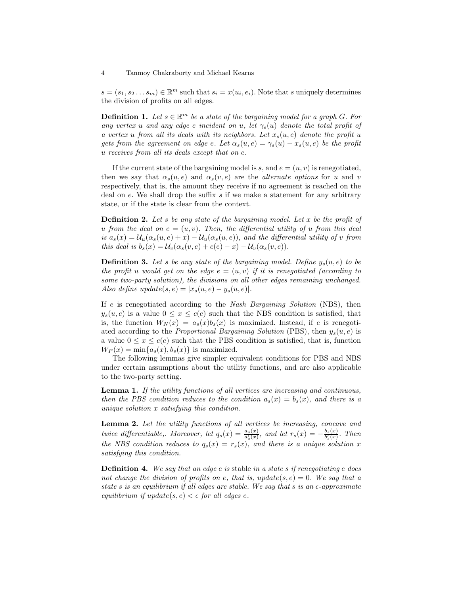#### 4 Tanmoy Chakraborty and Michael Kearns

 $s = (s_1, s_2 \dots s_m) \in \mathbb{R}^m$  such that  $s_i = x(u_i, e_i)$ . Note that s uniquely determines the division of profits on all edges.

**Definition 1.** Let  $s \in \mathbb{R}^m$  be a state of the bargaining model for a graph G. For any vertex u and any edge e incident on u, let  $\gamma_s(u)$  denote the total profit of a vertex u from all its deals with its neighbors. Let  $x_s(u, e)$  denote the profit u gets from the agreement on edge e. Let  $\alpha_s(u,e) = \gamma_s(u) - x_s(u,e)$  be the profit u receives from all its deals except that on e.

If the current state of the bargaining model is s, and  $e = (u, v)$  is renegotiated, then we say that  $\alpha_s(u, e)$  and  $\alpha_s(v, e)$  are the *alternate options* for u and v respectively, that is, the amount they receive if no agreement is reached on the deal on e. We shall drop the suffix s if we make a statement for any arbitrary state, or if the state is clear from the context.

**Definition 2.** Let s be any state of the bargaining model. Let x be the profit of u from the deal on  $e = (u, v)$ . Then, the differential utility of u from this deal is  $a_s(x) = U_u(\alpha_s(u, e) + x) - U_u(\alpha_s(u, e))$ , and the differential utility of v from this deal is  $b_s(x) = \mathcal{U}_v(\alpha_s(v, e) + c(e) - x) - \mathcal{U}_v(\alpha_s(v, e)).$ 

**Definition 3.** Let s be any state of the bargaining model. Define  $y_s(u, e)$  to be the profit u would get on the edge  $e = (u, v)$  if it is renegotiated (according to some two-party solution), the divisions on all other edges remaining unchanged. Also define update(s, e) =  $|x_s(u, e) - y_s(u, e)|$ .

If e is renegotiated according to the Nash Bargaining Solution (NBS), then  $y_s(u, e)$  is a value  $0 \le x \le c(e)$  such that the NBS condition is satisfied, that is, the function  $W_N(x) = a_s(x)b_s(x)$  is maximized. Instead, if e is renegotiated according to the *Proportional Bargaining Solution* (PBS), then  $y_s(u, e)$  is a value  $0 \le x \le c(e)$  such that the PBS condition is satisfied, that is, function  $W_P(x) = \min\{a_s(x), b_s(x)\}\$ is maximized.

The following lemmas give simpler equivalent conditions for PBS and NBS under certain assumptions about the utility functions, and are also applicable to the two-party setting.

Lemma 1. If the utility functions of all vertices are increasing and continuous, then the PBS condition reduces to the condition  $a_s(x) = b_s(x)$ , and there is a unique solution x satisfying this condition.

Lemma 2. Let the utility functions of all vertices be increasing, concave and twice differentiable,. Moreover, let  $q_s(x) = \frac{a_s(x)}{a'_s(x)}$ , and let  $r_s(x) = -\frac{b_s(x)}{b'_s(x)}$  $\frac{b_s(x)}{b_s'(x)}$ . Then the NBS condition reduces to  $q_s(x) = r_s(x)$ , and there is a unique solution x satisfying this condition.

**Definition 4.** We say that an edge  $e$  is stable in a state  $s$  if renegotiating  $e$  does not change the division of profits on e, that is, update(s, e) = 0. We say that a state s is an equilibrium if all edges are stable. We say that s is an  $\epsilon$ -approximate equilibrium if update(s, e)  $\lt \epsilon$  for all edges e.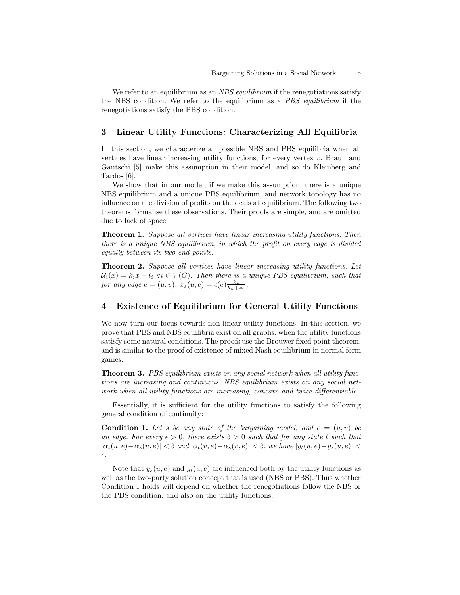We refer to an equilibrium as an *NBS equilibrium* if the renegotiations satisfy the NBS condition. We refer to the equilibrium as a *PBS equilibrium* if the renegotiations satisfy the PBS condition.

### 3 Linear Utility Functions: Characterizing All Equilibria

In this section, we characterize all possible NBS and PBS equilibria when all vertices have linear increasing utility functions, for every vertex  $v$ . Braun and Gautschi [5] make this assumption in their model, and so do Kleinberg and Tardos [6].

We show that in our model, if we make this assumption, there is a unique NBS equilibrium and a unique PBS equilibrium, and network topology has no influence on the division of profits on the deals at equilibrium. The following two theorems formalise these observations. Their proofs are simple, and are omitted due to lack of space.

Theorem 1. Suppose all vertices have linear increasing utility functions. Then there is a unique NBS equilibrium, in which the profit on every edge is divided equally between its two end-points.

Theorem 2. Suppose all vertices have linear increasing utility functions. Let  $U_i(x) = k_i x + l_i \ \forall i \in V(G)$ . Then there is a unique PBS equilibrium, such that for any edge  $e = (u, v), x_s(u, e) = c(e) \frac{k_v}{k_u + k_v}$ .

#### 4 Existence of Equilibrium for General Utility Functions

We now turn our focus towards non-linear utility functions. In this section, we prove that PBS and NBS equilibria exist on all graphs, when the utility functions satisfy some natural conditions. The proofs use the Brouwer fixed point theorem, and is similar to the proof of existence of mixed Nash equilibrium in normal form games.

**Theorem 3.** PBS equilibrium exists on any social network when all utility functions are increasing and continuous. NBS equilibrium exists on any social network when all utility functions are increasing, concave and twice differentiable.

Essentially, it is sufficient for the utility functions to satisfy the following general condition of continuity:

**Condition 1.** Let s be any state of the bargaining model, and  $e = (u, v)$  be an edge. For every  $\epsilon > 0$ , there exists  $\delta > 0$  such that for any state t such that  $|\alpha_t(u, e) - \alpha_s(u, e)| < \delta$  and  $|\alpha_t(v, e) - \alpha_s(v, e)| < \delta$ , we have  $|y_t(u, e) - y_s(u, e)| <$  $\epsilon.$ 

Note that  $y_s(u, e)$  and  $y_t(u, e)$  are influenced both by the utility functions as well as the two-party solution concept that is used (NBS or PBS). Thus whether Condition 1 holds will depend on whether the renegotiations follow the NBS or the PBS condition, and also on the utility functions.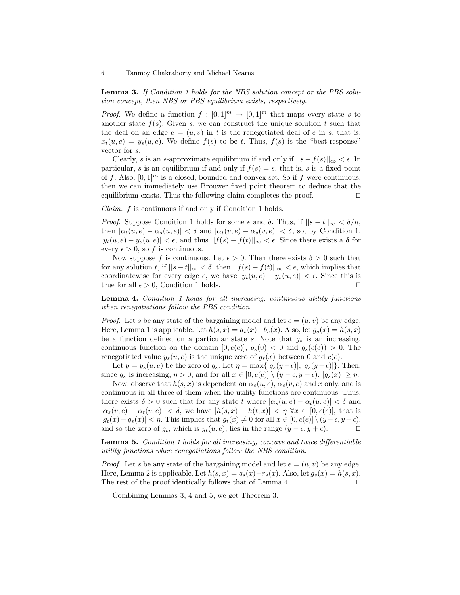Lemma 3. If Condition 1 holds for the NBS solution concept or the PBS solution concept, then NBS or PBS equilibrium exists, respectively.

*Proof.* We define a function  $f : [0, 1]^m \rightarrow [0, 1]^m$  that maps every state s to another state  $f(s)$ . Given s, we can construct the unique solution t such that the deal on an edge  $e = (u, v)$  in t is the renegotiated deal of e in s, that is,  $x_t(u, e) = y_s(u, e)$ . We define  $f(s)$  to be t. Thus,  $f(s)$  is the "best-response" vector for s.

Clearly, s is an  $\epsilon$ -approximate equilibrium if and only if  $||s - f(s)||_{\infty} < \epsilon$ . In particular, s is an equilibrium if and only if  $f(s) = s$ , that is, s is a fixed point of f. Also,  $[0,1]^m$  is a closed, bounded and convex set. So if f were continuous, then we can immediately use Brouwer fixed point theorem to deduce that the equilibrium exists. Thus the following claim completes the proof.  $\Box$ 

Claim. f is continuous if and only if Condition 1 holds.

*Proof.* Suppose Condition 1 holds for some  $\epsilon$  and  $\delta$ . Thus, if  $||s-t||_{\infty} < \delta/n$ , then  $|\alpha_t(u, e) - \alpha_s(u, e)| < \delta$  and  $|\alpha_t(v, e) - \alpha_s(v, e)| < \delta$ , so, by Condition 1,  $|y_t(u, e) - y_s(u, e)| < \epsilon$ , and thus  $||f(s) - f(t)||_{\infty} < \epsilon$ . Since there exists a  $\delta$  for every  $\epsilon > 0$ , so f is continuous.

Now suppose f is continuous. Let  $\epsilon > 0$ . Then there exists  $\delta > 0$  such that for any solution t, if  $||s-t||_{\infty} < \delta$ , then  $||f(s) - f(t)||_{\infty} < \epsilon$ , which implies that coordinatewise for every edge e, we have  $|y_t(u, e) - y_s(u, e)| < \epsilon$ . Since this is true for all  $\epsilon > 0$ , Condition 1 holds.

Lemma 4. Condition 1 holds for all increasing, continuous utility functions when renegotiations follow the PBS condition.

*Proof.* Let s be any state of the bargaining model and let  $e = (u, v)$  be any edge. Here, Lemma 1 is applicable. Let  $h(s, x) = a_s(x) - b_s(x)$ . Also, let  $g_s(x) = h(s, x)$ be a function defined on a particular state s. Note that  $g_s$  is an increasing, continuous function on the domain  $[0, c(e)]$ ,  $g_s(0) < 0$  and  $g_s(c(e)) > 0$ . The renegotiated value  $y_s(u, e)$  is the unique zero of  $g_s(x)$  between 0 and  $c(e)$ .

Let  $y = y_s(u, e)$  be the zero of  $g_s$ . Let  $\eta = \max\{|g_s(y - \epsilon)|, |g_s(y + \epsilon)|\}$ . Then, since  $g_s$  is increasing,  $\eta > 0$ , and for all  $x \in [0, c(e)] \setminus (y - \epsilon, y + \epsilon)$ ,  $|g_s(x)| \geq \eta$ .

Now, observe that  $h(s, x)$  is dependent on  $\alpha_s(u, e), \alpha_s(v, e)$  and x only, and is continuous in all three of them when the utility functions are continuous. Thus, there exists  $\delta > 0$  such that for any state t where  $|\alpha_s(u, e) - \alpha_t(u, e)| < \delta$  and  $|\alpha_s(v, e) - \alpha_t(v, e)| < \delta$ , we have  $|h(s, x) - h(t, x)| < \eta \ \forall x \in [0, c(e)]$ , that is  $|g_t(x)-g_s(x)| < \eta$ . This implies that  $g_t(x) \neq 0$  for all  $x \in [0, c(e)] \setminus (y - \epsilon, y + \epsilon)$ , and so the zero of  $g_t$ , which is  $y_t(u, e)$ , lies in the range  $(y - \epsilon, y + \epsilon)$ .  $\Box$ 

Lemma 5. Condition 1 holds for all increasing, concave and twice differentiable utility functions when renegotiations follow the NBS condition.

*Proof.* Let s be any state of the bargaining model and let  $e = (u, v)$  be any edge. Here, Lemma 2 is applicable. Let  $h(s, x) = q_s(x) - r_s(x)$ . Also, let  $g_s(x) = h(s, x)$ . The rest of the proof identically follows that of Lemma 4.  $\Box$ 

Combining Lemmas 3, 4 and 5, we get Theorem 3.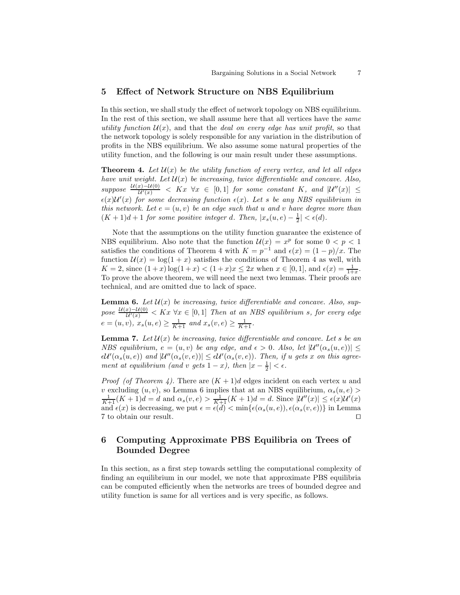#### 5 Effect of Network Structure on NBS Equilibrium

In this section, we shall study the effect of network topology on NBS equilibrium. In the rest of this section, we shall assume here that all vertices have the same utility function  $U(x)$ , and that the deal on every edge has unit profit, so that the network topology is solely responsible for any variation in the distribution of profits in the NBS equilibrium. We also assume some natural properties of the utility function, and the following is our main result under these assumptions.

**Theorem 4.** Let  $\mathcal{U}(x)$  be the utility function of every vertex, and let all edges have unit weight. Let  $\mathcal{U}(x)$  be increasing, twice differentiable and concave. Also, suppose  $\frac{\mathcal{U}(x)-\mathcal{U}(0)}{\mathcal{U}'(x)}$   $\langle$   $\overline{Kx}$   $\forall x \in [0,1]$  for some constant  $\overline{K}$ , and  $|\mathcal{U}''(x)| \leq$  $\epsilon(x)U'(x)$  for some decreasing function  $\epsilon(x)$ . Let s be any NBS equilibrium in this network. Let  $e = (u, v)$  be an edge such that u and v have degree more than  $(K+1)d+1$  for some positive integer d. Then,  $|x_s(u,e)-\frac{1}{2}| < \epsilon(d)$ .

Note that the assumptions on the utility function guarantee the existence of NBS equilibrium. Also note that the function  $\mathcal{U}(x) = x^p$  for some  $0 < p < 1$ satisfies the conditions of Theorem 4 with  $K = p^{-1}$  and  $\epsilon(x) = (1-p)/x$ . The function  $\mathcal{U}(x) = \log(1+x)$  satisfies the conditions of Theorem 4 as well, with K = 2, since  $(1+x)\log(1+x) < (1+x)x \le 2x$  when  $x \in [0,1]$ , and  $\epsilon(x) = \frac{1}{1+x}$ . To prove the above theorem, we will need the next two lemmas. Their proofs are technical, and are omitted due to lack of space.

**Lemma 6.** Let  $\mathcal{U}(x)$  be increasing, twice differentiable and concave. Also, suppose  $\frac{\mathcal{U}(x)-\mathcal{U}(0)}{\mathcal{U}'(x)} < Kx$   $\forall x \in [0,1]$  Then at an NBS equilibrium s, for every edge  $e = (u, v), x_s(u, e) \ge \frac{1}{K+1}$  and  $x_s(v, e) \ge \frac{1}{K+1}$ .

**Lemma 7.** Let  $\mathcal{U}(x)$  be increasing, twice differentiable and concave. Let s be an NBS equilibrium,  $e = (u, v)$  be any edge, and  $\epsilon > 0$ . Also, let  $|\mathcal{U}''(\alpha_s(u, e))| \le$  $\epsilon \mathcal{U}'(\alpha_s(u,e))$  and  $|\mathcal{U}''(\alpha_s(v,e))| \leq \epsilon \mathcal{U}'(\alpha_s(v,e))$ . Then, if u gets x on this agreement at equilibrium (and v gets  $1-x$ ), then  $|x-\frac{1}{2}| < \epsilon$ .

*Proof (of Theorem 4).* There are  $(K + 1)d$  edges incident on each vertex u and v excluding  $(u, v)$ , so Lemma 6 implies that at an NBS equilibrium,  $\alpha_s(u, e)$  $\frac{1}{K+1}(K+1)d = d$  and  $\alpha_s(v,e) > \frac{1}{K+1}(K+1)d = d$ . Since  $|\mathcal{U}''(x)| \leq \epsilon(x)\mathcal{U}'(x)$ and  $\epsilon(x)$  is decreasing, we put  $\epsilon = \epsilon(d) < \min{\{\epsilon(\alpha_s(u, e)), \epsilon(\alpha_s(v, e))\}}$  in Lemma 7 to obtain our result.  $\Box$ 

## 6 Computing Approximate PBS Equilibria on Trees of Bounded Degree

In this section, as a first step towards settling the computational complexity of finding an equilibrium in our model, we note that approximate PBS equilibria can be computed efficiently when the networks are trees of bounded degree and utility function is same for all vertices and is very specific, as follows.